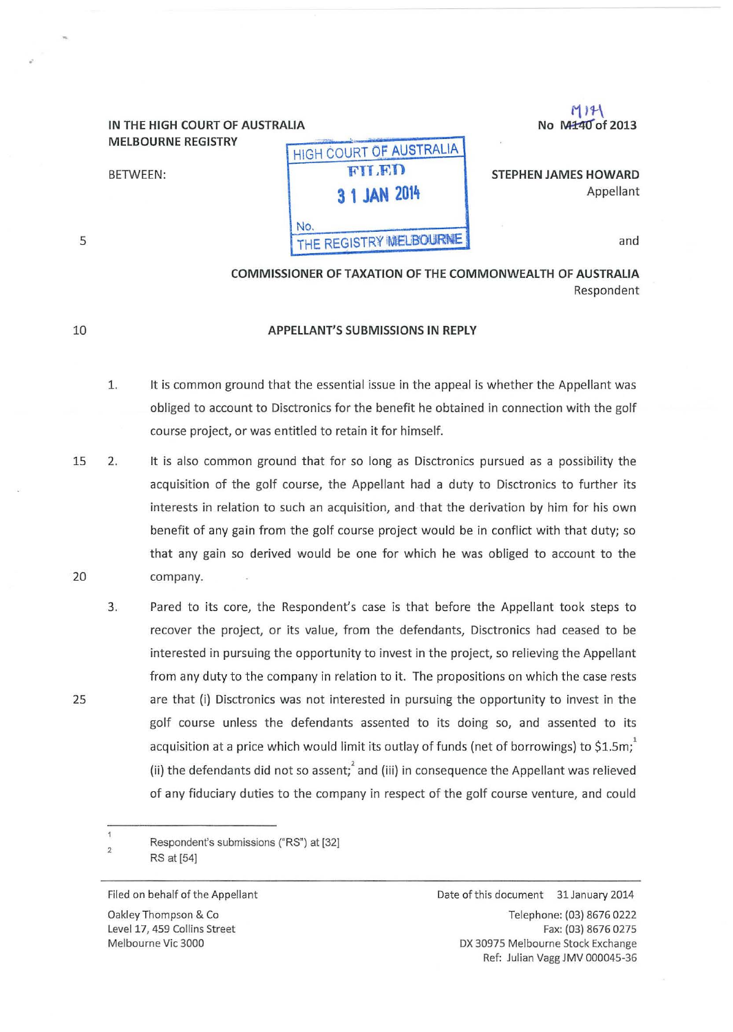# **MELBOURNE REGISTRY**

| <b>MELBOURNE REGISTRY</b> | ' HIGH COURT OF AUSTRALIA     |                                   |
|---------------------------|-------------------------------|-----------------------------------|
| <b>BETWEEN:</b>           | <b>FILED</b><br>3 1 JAN 2014  | STEPHEN JAMES HOWARD<br>Appellant |
|                           | No.<br>THE REGISTRY MELBOURNE | and                               |

 $f(1)$  ,  $f(2)$  ,  $f(3)$  ,  $f(4)$  ,  $f(5)$  ,  $f(6)$  ,  $f(7)$  ,  $f(8)$  ,  $f(7)$  ,  $f(8)$  ,  $f(7)$  ,  $f(8)$  ,  $f(9)$  ,  $f(9)$  ,  $f(9)$  ,  $f(9)$  ,  $f(9)$  ,  $f(9)$  ,  $f(9)$  ,  $f(9)$  ,  $f(9)$  ,  $f(9)$  ,  $f(9)$  ,  $f(9)$  ,  $f(9)$ 

COMMISSIONER OF TAXATION OF THE COMMONWEAlTH OF AUSTRALIA Respondent

### APPELlANT'S SUBMISSIONS IN REPlY

- 1. It is common ground that the essential issue in the appeal is whether the Appellant was obliged to account to Disctronics for the benefit he obtained in connection with the golf course project, or was entitled to retain it for himself.
- 15 20 2. It is also common ground that for so long as Disctronics pursued as a possibility the acquisition of the golf course, the Appellant had a duty to Disctronics to further its interests in relation to such an acquisition, and that the derivation by him for his own benefit of any gain from the golf course project would be in conflict with that duty; so that any gain so derived would be one for which he was obliged to account to the company.
	- 3. Pared to its core, the Respondent's case is that before the Appellant took steps to recover the project, or its value, from the defendants, Disctronics had ceased to be interested in pursuing the opportunity to invest in the project, so relieving the Appellant from any duty to the company in relation to it. The propositions on which the case rests are that (i) Disctronics was not interested in pursuing the opportunity to invest in the golf course unless the defendants assented to its doing so, and assented to its acquisition at a price which would limit its outlay of funds (net of borrowings) to \$1.5m; (ii) the defendants did not so assent; and (iii) in consequence the Appellant was relieved of any fiduciary duties to the company in respect of the golf course venture, and could

 $\mathbf{1}$ Respondent's submissions ("RS") at [32] 2 RS at (54]

25

5

10

.·

Filed on behalf of the Appellant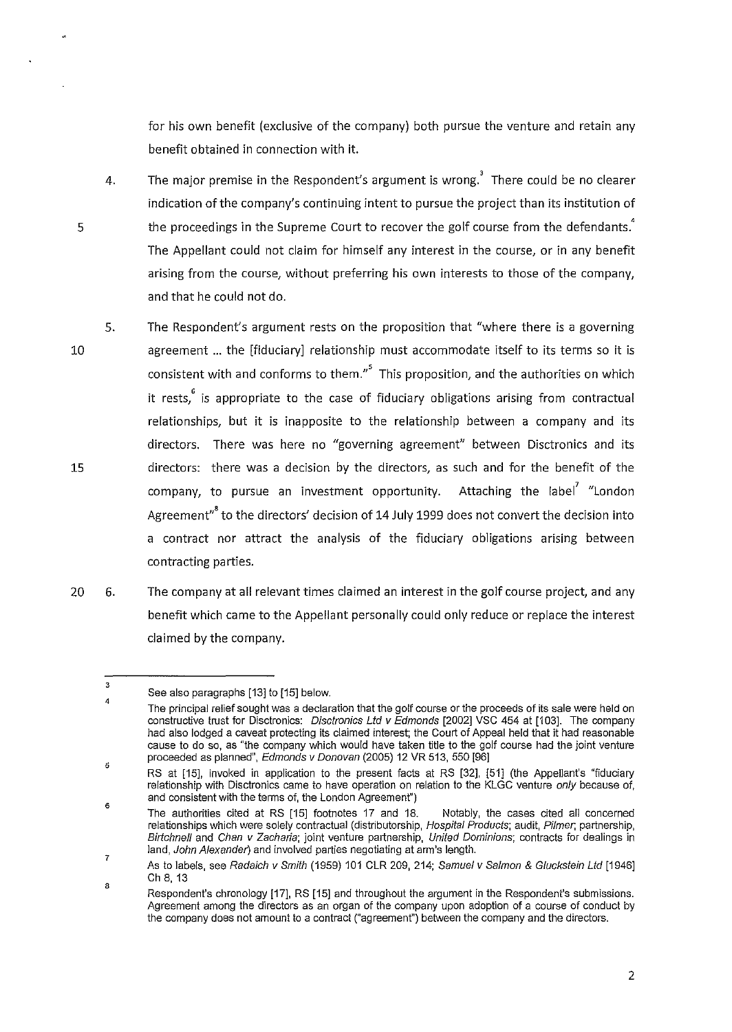for his own benefit (exclusive of the company) both pursue the venture and retain any benefit obtained in connection with it.

- 4. The major premise in the Respondent's argument is wrong. There could be no clearer indication of the company's continuing intent to pursue the project than its institution of the proceedings in the Supreme Court to recover the golf course from the defendants.' The Appellant could not claim for himself any interest in the course, or in any benefit arising from the course, without preferring his own interests to those of the company, and that he could not do.
- 10 15 5. The Respondent's argument rests on the proposition that "where there is a governing agreement ... the [fiduciary] relationship must accommodate itself to its terms so it is consistent with and conforms to them."<sup>5</sup> This proposition, and the authorities on which it rests, is appropriate to the case of fiduciary obligations arising from contractual relationships, but it is inapposite to the relationship between a company and its directors. There was here no "governing agreement" between Disctronics and its directors: there was a decision by the directors, as such and for the benefit of the company, to pursue an investment opportunity. Attaching the label<sup>7</sup> "London Agreement"<sup>8</sup> to the directors' decision of 14 July 1999 does not convert the decision into a contract nor attract the analysis of the fiduciary obligations arising between contracting parties.
- 20 6. The company at all relevant times claimed an interest in the golf course project, and any benefit which came to the Appellant personally could only reduce or replace the interest claimed by the company.

5

<sup>3</sup>  4 See also paragraphs [13] to [15] below.

The principal relief sought was a declaration that the golf course or the proceeds of its sale were held on constructive trust for Disctronics: Disctronics Ltd v Edmonds [2002] VSC 454 at [103]. The company had also lodged a caveat protecting its claimed interest; the Court of Appeal held that it had reasonable cause to do so, as "the company which would have taken title to the golf course had the joint venture proceeded as planned", Edmonds v Donovan (2005) 12 VR 513, 550 [96]

<sup>5</sup>  RS at [15], invoked in application to the present facts at RS [32], [51] (the Appellant's "fiduciary **relationship with Disctronics came to have operation on relation to the KLGC venture only because of,**  and consistent with the terms of, the London Agreement")

<sup>6</sup>  The authorities cited at RS [15] footnotes 17 and 18. Notably, the cases cited all concerned relationships which were solely contractual (distributorship, Hospital Products; audit, Pilmer, partnership, Birtchnell and Chan v Zacharia; joint venture partnership, United Dominions; contracts for dealings in land, John Alexander) and involved parties negotiating at arm's length.

<sup>7</sup>  8 As to labels, see Radaich v Smith (1959) 101 CLR 209, 214; Samuel v Salmon & Gluckstein Ltd [1946] Ch 8, 13

Respondent's chronology [17], RS [15] and throughout the argument in the Respondent's submissions. **Agreement among the directors as an organ of the company upon adoption of a course of conduct by**  the company does not amount to a contract ("agreement") between the company and the directors.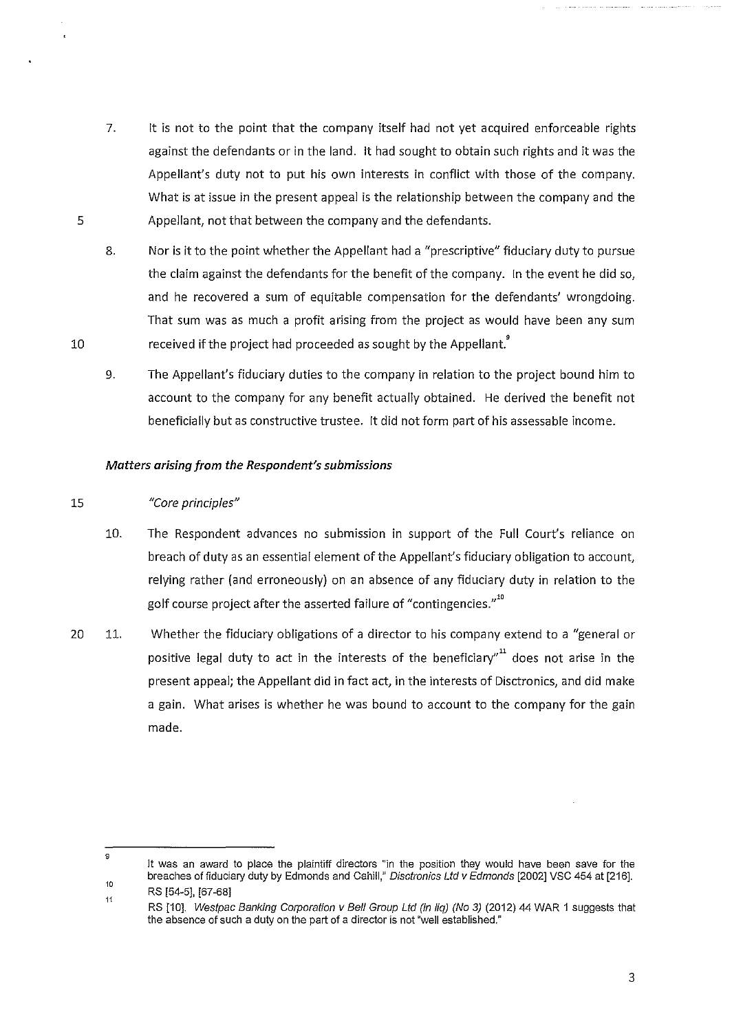7. It is not to the point that the company itself had not yet acquired enforceable rights against the defendants or in the land. It had sought to obtain such rights and it was the Appellant's duty not to put his own interests in conflict with those of the company. What is at issue in the present appeal is the relationship between the company and the Appellant, not that between the company and the defendants.

8. Nor is it to the point whether the Appellant had a "prescriptive" fiduciary duty to pursue the claim against the defendants for the benefit of the company. In the event he did so, and he recovered a sum of equitable compensation for the defendants' wrongdoing. That sum was as much a profit arising from the project as would have been any sum received if the project had proceeded as sought by the Appellant.<sup>9</sup>

9. The Appellant's fiduciary duties to the company in relation to the project bound him to account to the company for any benefit actually obtained. He derived the benefit not beneficially but as constructive trustee. It did not form part of his assessable income.

## *Matters arising from the Respondent's submissions*

#### 15 *"Core principles"*

5

10

- 10. The Respondent advances no submission in support of the Full Court's reliance on breach of duty as an essential element of the Appellant's fiduciary obligation to account, relying rather (and erroneously) on an absence of any fiduciary duty in relation to the golf course project after the asserted failure of "contingencies."<sup>10</sup>
- 20 11. Whether the fiduciary obligations of a director to his company extend to a "general or positive legal duty to act in the interests of the beneficiary" $^{\rm n1}$  does not arise in the present appeal; the Appellant did in fact act, in the interests of Disctronics, and did make a gain. What arises is whether he was bound to account to the company for the gain made.

<sup>9</sup>  10 **It was an award to place the plaintiff directors "in the position they would have been save for the**  breaches of fiduciary duty by Edmonds and Cahill," Disctronics Ltd v Edmonds [2002] VSC 454 at [216].

<sup>11</sup>  RS [54-5], [67 -68]

RS [10]. Westpac Banking Corporation v Bell Group Ltd (in liq) (No 3) (2012) 44 WAR 1 suggests that the absence of such a duty on the part of a director is not "well established."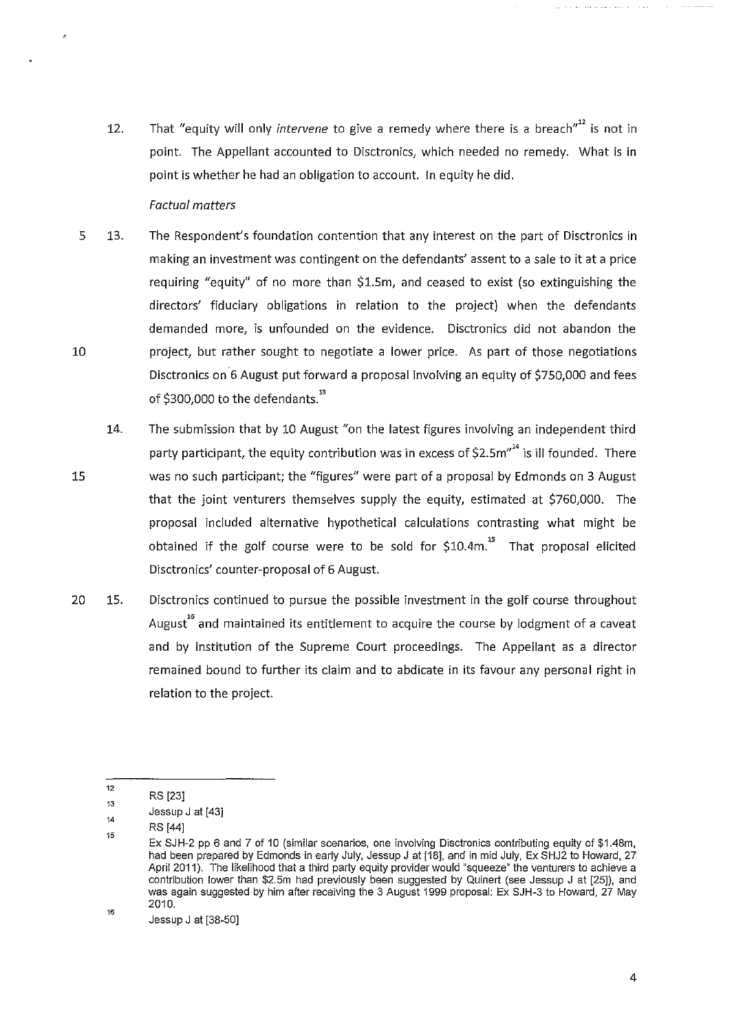12. That "equity will only *intervene* to give a remedy where there is a breach"" is not in point. The Appellant accounted to Disctronics, which needed no remedy. What is in point is whether he had an obligation to account. In equity he did.

## *Factual matters*

- 5 10 13. The Respondent's foundation contention that any interest on the part of Disctronics in making an investment was contingent on the defendants' assent to a sale to it at a price requiring "equity" of no more than \$1.5m, and ceased to exist (so extinguishing the directors' fiduciary obligations in relation to the project) when the defendants demanded more, is unfounded on the evidence. Disctronics did not abandon the project, but rather sought to negotiate a lower price. As part of those negotiations Disctronics on 6 August put forward a proposal involving an equity of \$750,000 and fees of \$300,000 to the defendants.<sup>13</sup>
- 15 14. The submission that by 10 August "on the latest figures involving an independent third party participant, the equity contribution was in excess of \$2.5 $m''<sup>14</sup>$  is ill founded. There was no such participant; the "figures" were part of a proposal by Edmonds on 3 August that the joint venturers themselves supply the equity, estimated at \$760,000. The proposal included alternative hypothetical calculations contrasting what might be obtained if the golf course were to be sold for  $$10.4m.<sup>15</sup>$  That proposal elicited Disctronics' counter-proposal of 6 August.
- 20 15. Disctronics continued to pursue the possible investment in the golf course throughout August<sup>16</sup> and maintained its entitlement to acquire the course by lodgment of a caveat and by institution of the Supreme Court proceedings. The Appellant as a director remained bound to further its claim and to abdicate in its favour any personal right in relation to the project.

<sup>12</sup>  RS [23]

<sup>13</sup>  Jessup J at [43]

<sup>14</sup>  RS [44]

<sup>15</sup>  16 Ex SJH-2 pp 6 and 7 of 10 (similar scenarios, one involving Disctronics contributing equity of \$1.48m, had been prepared by Edmonds in early July, Jessup J at [18], and in mid July, Ex SHJ2 to Howard, 27 April 2011 ). The likelihood that a third party equity provider would "squeeze" the venturers to achieve a contribution lower than \$2.5m had previously been suggested by Quinert (see Jessup J at [25]), and was again suggested by him after receiving the 3 August 1999 proposal: Ex SJH-3 to Howard, 27 May 2010.

Jessup J at [38-50]